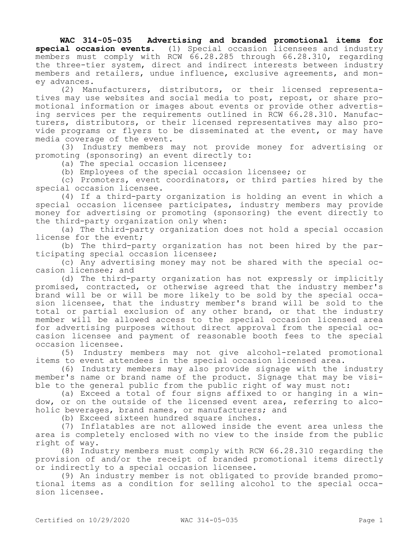**WAC 314-05-035 Advertising and branded promotional items for special occasion events.** (1) Special occasion licensees and industry members must comply with RCW 66.28.285 through 66.28.310, regarding the three-tier system, direct and indirect interests between industry members and retailers, undue influence, exclusive agreements, and money advances.

(2) Manufacturers, distributors, or their licensed representatives may use websites and social media to post, repost, or share promotional information or images about events or provide other advertising services per the requirements outlined in RCW 66.28.310. Manufacturers, distributors, or their licensed representatives may also provide programs or flyers to be disseminated at the event, or may have media coverage of the event.

(3) Industry members may not provide money for advertising or promoting (sponsoring) an event directly to:

(a) The special occasion licensee;

(b) Employees of the special occasion licensee; or

(c) Promoters, event coordinators, or third parties hired by the special occasion licensee.

(4) If a third-party organization is holding an event in which a special occasion licensee participates, industry members may provide money for advertising or promoting (sponsoring) the event directly to the third-party organization only when:

(a) The third-party organization does not hold a special occasion license for the event;

(b) The third-party organization has not been hired by the participating special occasion licensee;

(c) Any advertising money may not be shared with the special occasion licensee; and

(d) The third-party organization has not expressly or implicitly promised, contracted, or otherwise agreed that the industry member's brand will be or will be more likely to be sold by the special occasion licensee, that the industry member's brand will be sold to the total or partial exclusion of any other brand, or that the industry member will be allowed access to the special occasion licensed area for advertising purposes without direct approval from the special occasion licensee and payment of reasonable booth fees to the special occasion licensee.

(5) Industry members may not give alcohol-related promotional items to event attendees in the special occasion licensed area.

(6) Industry members may also provide signage with the industry member's name or brand name of the product. Signage that may be visible to the general public from the public right of way must not:

(a) Exceed a total of four signs affixed to or hanging in a window, or on the outside of the licensed event area, referring to alcoholic beverages, brand names, or manufacturers; and

(b) Exceed sixteen hundred square inches.

(7) Inflatables are not allowed inside the event area unless the area is completely enclosed with no view to the inside from the public right of way.

(8) Industry members must comply with RCW 66.28.310 regarding the provision of and/or the receipt of branded promotional items directly or indirectly to a special occasion licensee.

(9) An industry member is not obligated to provide branded promotional items as a condition for selling alcohol to the special occasion licensee.